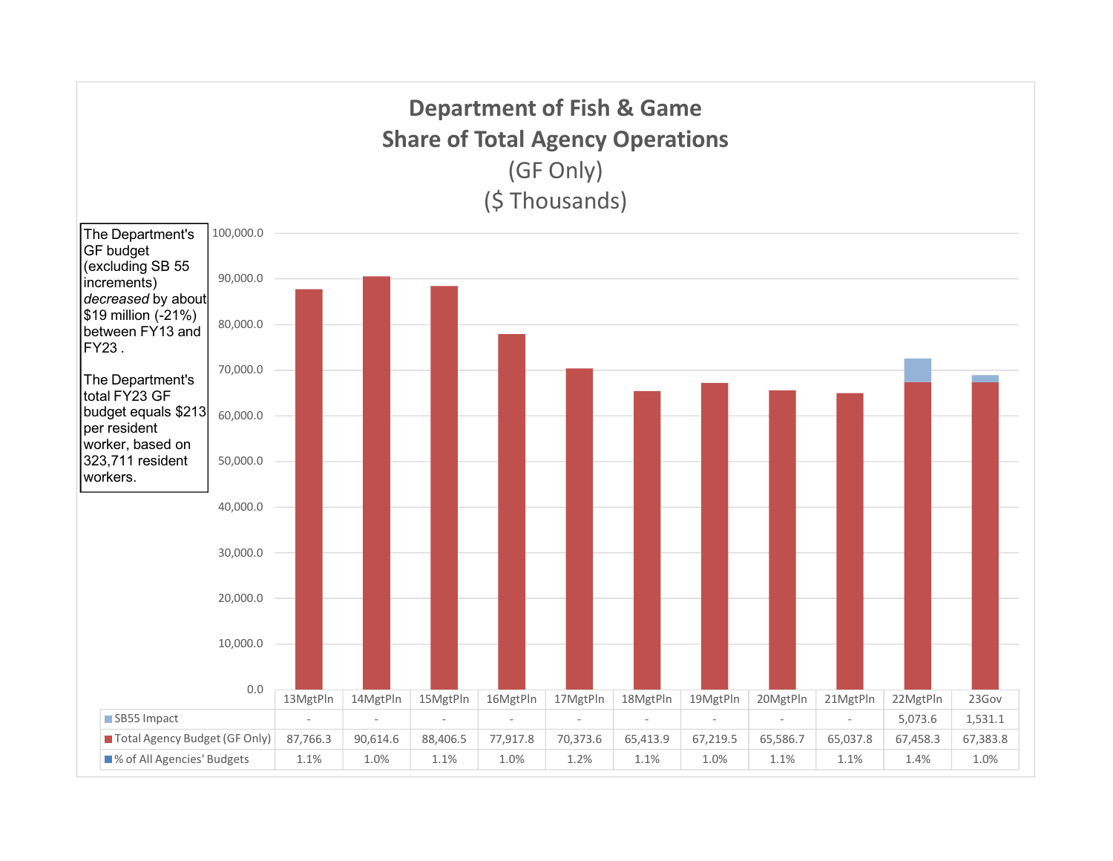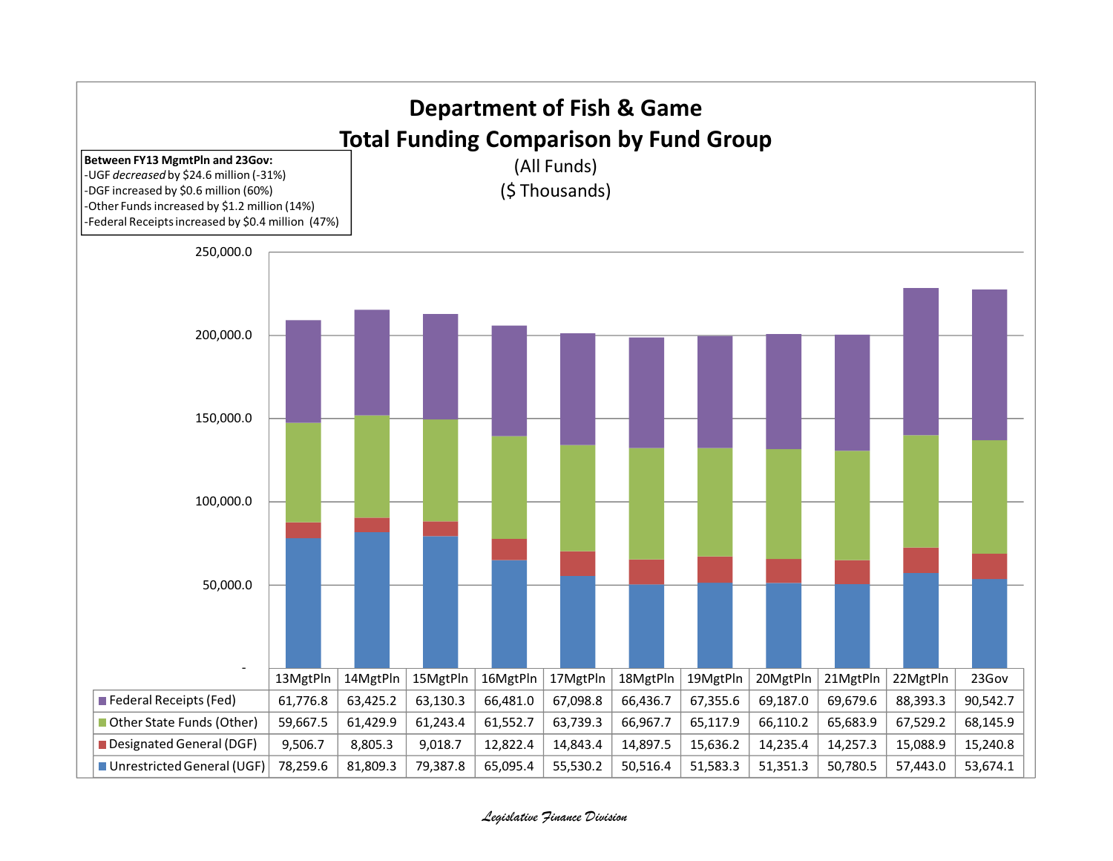